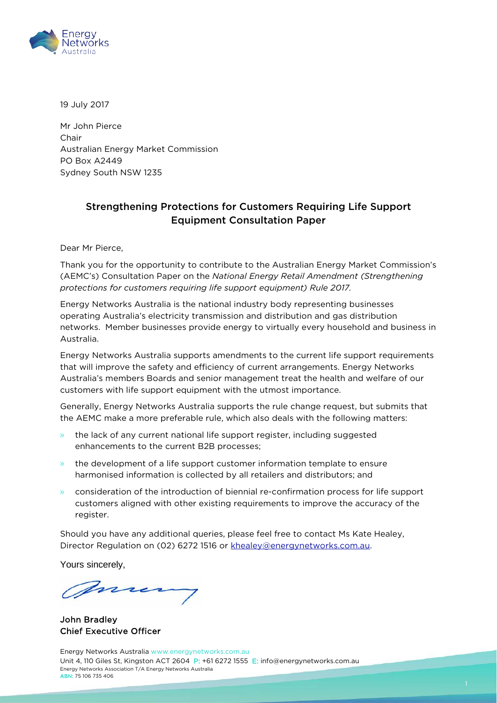

19 July 2017

Mr John Pierce Chair Australian Energy Market Commission PO Box A2449 Sydney South NSW 1235

#### Strengthening Protections for Customers Requiring Life Support Equipment Consultation Paper

Dear Mr Pierce,

Thank you for the opportunity to contribute to the Australian Energy Market Commission's (AEMC's) Consultation Paper on the *National Energy Retail Amendment (Strengthening protections for customers requiring life support equipment) Rule 2017.*

Energy Networks Australia is the national industry body representing businesses operating Australia's electricity transmission and distribution and gas distribution networks. Member businesses provide energy to virtually every household and business in Australia.

Energy Networks Australia supports amendments to the current life support requirements that will improve the safety and efficiency of current arrangements. Energy Networks Australia's members Boards and senior management treat the health and welfare of our customers with life support equipment with the utmost importance.

Generally, Energy Networks Australia supports the rule change request, but submits that the AEMC make a more preferable rule, which also deals with the following matters:

- » the lack of any current national life support register, including suggested enhancements to the current B2B processes;
- » the development of a life support customer information template to ensure harmonised information is collected by all retailers and distributors; and
- » consideration of the introduction of biennial re-confirmation process for life support customers aligned with other existing requirements to improve the accuracy of the register.

Should you have any additional queries, please feel free to contact Ms Kate Healey, Director Regulation on (02) 6272 1516 or [khealey@energynetworks.com.au.](mailto:khealey@energynetworks.com.au)

Yours sincerely,

mre

John Bradley Chief Executive Officer

Energy Networks Australia [www.energynetworks.com.au](http://www.energynetworks.com.au/) Unit 4, 110 Giles St, Kingston ACT 2604 P: +61 6272 1555 E: [info@energynetworks.com.au](mailto:info@energynetworks.com.au) Energy Networks Association T/A Energy Networks Australia ABN: 75 106 735 406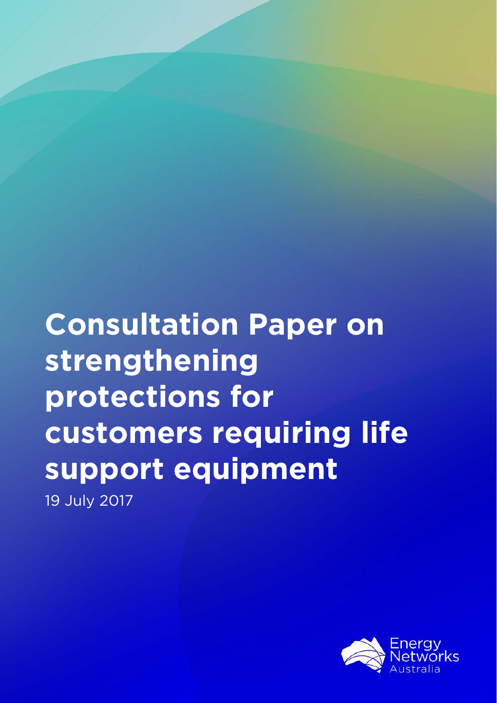**Consultation Paper on strengthening protections for customers requiring life support equipment** 19 July 2017

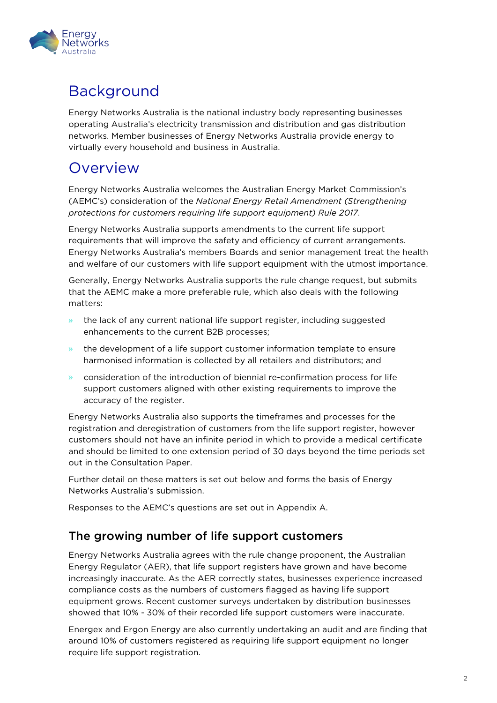

# Background

Energy Networks Australia is the national industry body representing businesses operating Australia's electricity transmission and distribution and gas distribution networks. Member businesses of Energy Networks Australia provide energy to virtually every household and business in Australia.

# **Overview**

Energy Networks Australia welcomes the Australian Energy Market Commission's (AEMC's) consideration of the *National Energy Retail Amendment (Strengthening protections for customers requiring life support equipment) Rule 2017*.

Energy Networks Australia supports amendments to the current life support requirements that will improve the safety and efficiency of current arrangements. Energy Networks Australia's members Boards and senior management treat the health and welfare of our customers with life support equipment with the utmost importance.

Generally, Energy Networks Australia supports the rule change request, but submits that the AEMC make a more preferable rule, which also deals with the following matters:

- » the lack of any current national life support register, including suggested enhancements to the current B2B processes;
- » the development of a life support customer information template to ensure harmonised information is collected by all retailers and distributors; and
- » consideration of the introduction of biennial re-confirmation process for life support customers aligned with other existing requirements to improve the accuracy of the register.

Energy Networks Australia also supports the timeframes and processes for the registration and deregistration of customers from the life support register, however customers should not have an infinite period in which to provide a medical certificate and should be limited to one extension period of 30 days beyond the time periods set out in the Consultation Paper.

Further detail on these matters is set out below and forms the basis of Energy Networks Australia's submission.

Responses to the AEMC's questions are set out in Appendix A.

#### The growing number of life support customers

Energy Networks Australia agrees with the rule change proponent, the Australian Energy Regulator (AER), that life support registers have grown and have become increasingly inaccurate. As the AER correctly states, businesses experience increased compliance costs as the numbers of customers flagged as having life support equipment grows. Recent customer surveys undertaken by distribution businesses showed that 10% - 30% of their recorded life support customers were inaccurate.

Energex and Ergon Energy are also currently undertaking an audit and are finding that around 10% of customers registered as requiring life support equipment no longer require life support registration.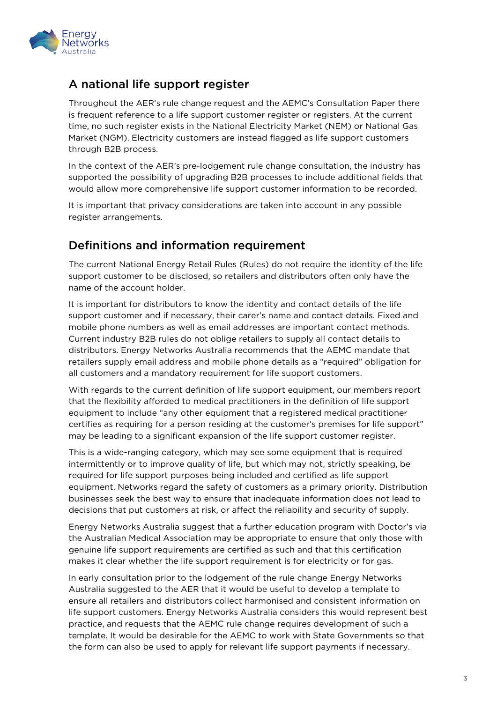

#### A national life support register

Throughout the AER's rule change request and the AEMC's Consultation Paper there is frequent reference to a life support customer register or registers. At the current time, no such register exists in the National Electricity Market (NEM) or National Gas Market (NGM). Electricity customers are instead flagged as life support customers through B2B process.

In the context of the AER's pre-lodgement rule change consultation, the industry has supported the possibility of upgrading B2B processes to include additional fields that would allow more comprehensive life support customer information to be recorded.

It is important that privacy considerations are taken into account in any possible register arrangements.

#### Definitions and information requirement

The current National Energy Retail Rules (Rules) do not require the identity of the life support customer to be disclosed, so retailers and distributors often only have the name of the account holder.

It is important for distributors to know the identity and contact details of the life support customer and if necessary, their carer's name and contact details. Fixed and mobile phone numbers as well as email addresses are important contact methods. Current industry B2B rules do not oblige retailers to supply all contact details to distributors. Energy Networks Australia recommends that the AEMC mandate that retailers supply email address and mobile phone details as a "required" obligation for all customers and a mandatory requirement for life support customers.

With regards to the current definition of life support equipment, our members report that the flexibility afforded to medical practitioners in the definition of life support equipment to include "any other equipment that a registered medical practitioner certifies as requiring for a person residing at the customer's premises for life support" may be leading to a significant expansion of the life support customer register.

This is a wide-ranging category, which may see some equipment that is required intermittently or to improve quality of life, but which may not, strictly speaking, be required for life support purposes being included and certified as life support equipment. Networks regard the safety of customers as a primary priority. Distribution businesses seek the best way to ensure that inadequate information does not lead to decisions that put customers at risk, or affect the reliability and security of supply.

Energy Networks Australia suggest that a further education program with Doctor's via the Australian Medical Association may be appropriate to ensure that only those with genuine life support requirements are certified as such and that this certification makes it clear whether the life support requirement is for electricity or for gas.

In early consultation prior to the lodgement of the rule change Energy Networks Australia suggested to the AER that it would be useful to develop a template to ensure all retailers and distributors collect harmonised and consistent information on life support customers. Energy Networks Australia considers this would represent best practice, and requests that the AEMC rule change requires development of such a template. It would be desirable for the AEMC to work with State Governments so that the form can also be used to apply for relevant life support payments if necessary.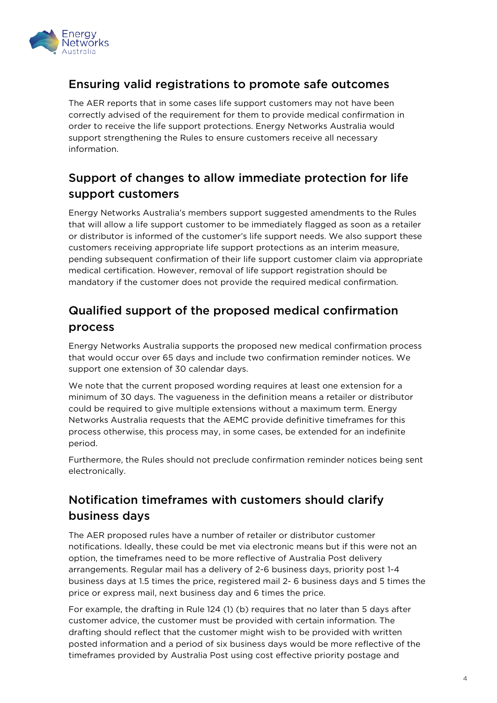

### Ensuring valid registrations to promote safe outcomes

The AER reports that in some cases life support customers may not have been correctly advised of the requirement for them to provide medical confirmation in order to receive the life support protections. Energy Networks Australia would support strengthening the Rules to ensure customers receive all necessary information.

## Support of changes to allow immediate protection for life support customers

Energy Networks Australia's members support suggested amendments to the Rules that will allow a life support customer to be immediately flagged as soon as a retailer or distributor is informed of the customer's life support needs. We also support these customers receiving appropriate life support protections as an interim measure, pending subsequent confirmation of their life support customer claim via appropriate medical certification. However, removal of life support registration should be mandatory if the customer does not provide the required medical confirmation.

# Qualified support of the proposed medical confirmation process

Energy Networks Australia supports the proposed new medical confirmation process that would occur over 65 days and include two confirmation reminder notices. We support one extension of 30 calendar days.

We note that the current proposed wording requires at least one extension for a minimum of 30 days. The vagueness in the definition means a retailer or distributor could be required to give multiple extensions without a maximum term. Energy Networks Australia requests that the AEMC provide definitive timeframes for this process otherwise, this process may, in some cases, be extended for an indefinite period.

Furthermore, the Rules should not preclude confirmation reminder notices being sent electronically.

# Notification timeframes with customers should clarify business days

The AER proposed rules have a number of retailer or distributor customer notifications. Ideally, these could be met via electronic means but if this were not an option, the timeframes need to be more reflective of Australia Post delivery arrangements. Regular mail has a delivery of 2-6 business days, priority post 1-4 business days at 1.5 times the price, registered mail 2- 6 business days and 5 times the price or express mail, next business day and 6 times the price.

For example, the drafting in Rule 124 (1) (b) requires that no later than 5 days after customer advice, the customer must be provided with certain information. The drafting should reflect that the customer might wish to be provided with written posted information and a period of six business days would be more reflective of the timeframes provided by Australia Post using cost effective priority postage and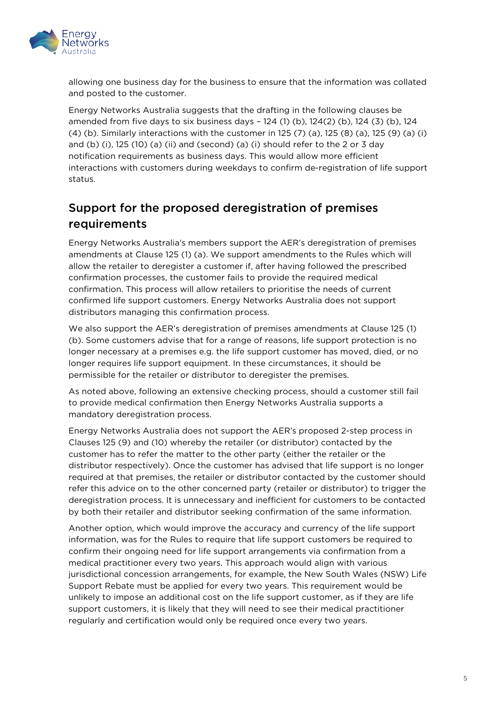

allowing one business day for the business to ensure that the information was collated and posted to the customer.

Energy Networks Australia suggests that the drafting in the following clauses be amended from five days to six business days – 124 (1) (b), 124(2) (b), 124 (3) (b), 124 (4) (b). Similarly interactions with the customer in 125 (7) (a), 125 (8) (a), 125 (9) (a) (i) and (b) (i), 125 (10) (a) (ii) and (second) (a) (i) should refer to the 2 or 3 day notification requirements as business days. This would allow more efficient interactions with customers during weekdays to confirm de-registration of life support status.

## Support for the proposed deregistration of premises requirements

Energy Networks Australia's members support the AER's deregistration of premises amendments at Clause 125 (1) (a). We support amendments to the Rules which will allow the retailer to deregister a customer if, after having followed the prescribed confirmation processes, the customer fails to provide the required medical confirmation. This process will allow retailers to prioritise the needs of current confirmed life support customers. Energy Networks Australia does not support distributors managing this confirmation process.

We also support the AER's deregistration of premises amendments at Clause 125 (1) (b). Some customers advise that for a range of reasons, life support protection is no longer necessary at a premises e.g. the life support customer has moved, died, or no longer requires life support equipment. In these circumstances, it should be permissible for the retailer or distributor to deregister the premises.

As noted above, following an extensive checking process, should a customer still fail to provide medical confirmation then Energy Networks Australia supports a mandatory deregistration process.

Energy Networks Australia does not support the AER's proposed 2-step process in Clauses 125 (9) and (10) whereby the retailer (or distributor) contacted by the customer has to refer the matter to the other party (either the retailer or the distributor respectively). Once the customer has advised that life support is no longer required at that premises, the retailer or distributor contacted by the customer should refer this advice on to the other concerned party (retailer or distributor) to trigger the deregistration process. It is unnecessary and inefficient for customers to be contacted by both their retailer and distributor seeking confirmation of the same information.

Another option, which would improve the accuracy and currency of the life support information, was for the Rules to require that life support customers be required to confirm their ongoing need for life support arrangements via confirmation from a medical practitioner every two years. This approach would align with various jurisdictional concession arrangements, for example, the New South Wales (NSW) Life Support Rebate must be applied for every two years. This requirement would be unlikely to impose an additional cost on the life support customer, as if they are life support customers, it is likely that they will need to see their medical practitioner regularly and certification would only be required once every two years.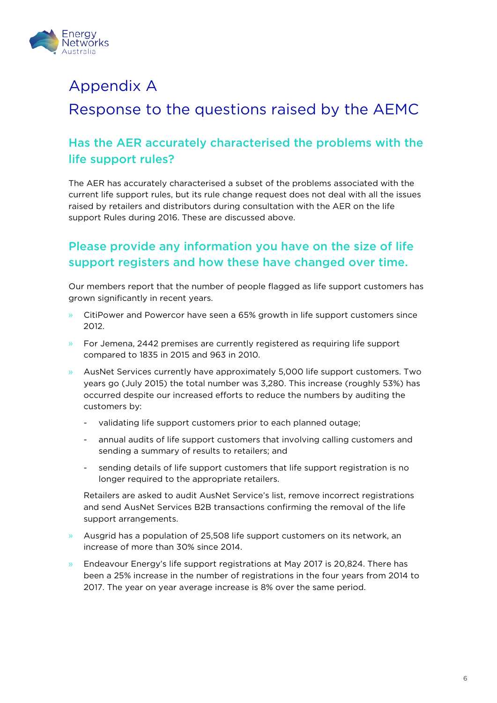

# Appendix A

# Response to the questions raised by the AEMC

## Has the AER accurately characterised the problems with the life support rules?

The AER has accurately characterised a subset of the problems associated with the current life support rules, but its rule change request does not deal with all the issues raised by retailers and distributors during consultation with the AER on the life support Rules during 2016. These are discussed above.

## Please provide any information you have on the size of life support registers and how these have changed over time.

Our members report that the number of people flagged as life support customers has grown significantly in recent years.

- » CitiPower and Powercor have seen a 65% growth in life support customers since 2012.
- » For Jemena, 2442 premises are currently registered as requiring life support compared to 1835 in 2015 and 963 in 2010.
- » AusNet Services currently have approximately 5,000 life support customers. Two years go (July 2015) the total number was 3,280. This increase (roughly 53%) has occurred despite our increased efforts to reduce the numbers by auditing the customers by:
	- validating life support customers prior to each planned outage;
	- annual audits of life support customers that involving calling customers and sending a summary of results to retailers; and
	- sending details of life support customers that life support registration is no longer required to the appropriate retailers.

Retailers are asked to audit AusNet Service's list, remove incorrect registrations and send AusNet Services B2B transactions confirming the removal of the life support arrangements.

- » Ausgrid has a population of 25,508 life support customers on its network, an increase of more than 30% since 2014.
- » Endeavour Energy's life support registrations at May 2017 is 20,824. There has been a 25% increase in the number of registrations in the four years from 2014 to 2017. The year on year average increase is 8% over the same period.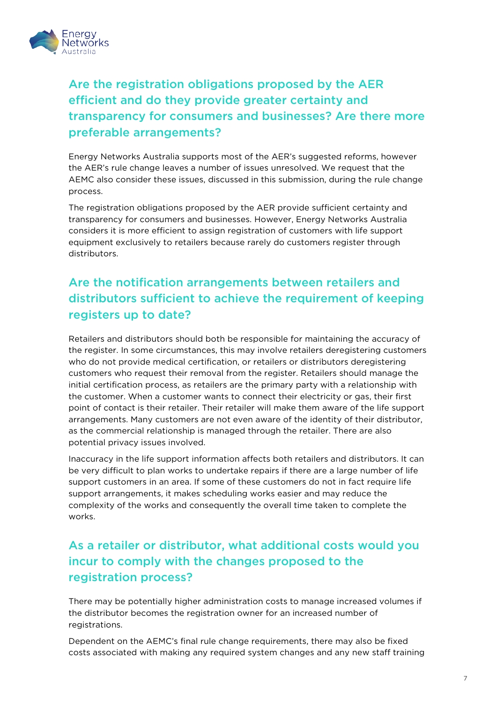

# Are the registration obligations proposed by the AER efficient and do they provide greater certainty and transparency for consumers and businesses? Are there more preferable arrangements?

Energy Networks Australia supports most of the AER's suggested reforms, however the AER's rule change leaves a number of issues unresolved. We request that the AEMC also consider these issues, discussed in this submission, during the rule change process.

The registration obligations proposed by the AER provide sufficient certainty and transparency for consumers and businesses. However, Energy Networks Australia considers it is more efficient to assign registration of customers with life support equipment exclusively to retailers because rarely do customers register through distributors.

# Are the notification arrangements between retailers and distributors sufficient to achieve the requirement of keeping registers up to date?

Retailers and distributors should both be responsible for maintaining the accuracy of the register. In some circumstances, this may involve retailers deregistering customers who do not provide medical certification, or retailers or distributors deregistering customers who request their removal from the register. Retailers should manage the initial certification process, as retailers are the primary party with a relationship with the customer. When a customer wants to connect their electricity or gas, their first point of contact is their retailer. Their retailer will make them aware of the life support arrangements. Many customers are not even aware of the identity of their distributor, as the commercial relationship is managed through the retailer. There are also potential privacy issues involved.

Inaccuracy in the life support information affects both retailers and distributors. It can be very difficult to plan works to undertake repairs if there are a large number of life support customers in an area. If some of these customers do not in fact require life support arrangements, it makes scheduling works easier and may reduce the complexity of the works and consequently the overall time taken to complete the works.

# As a retailer or distributor, what additional costs would you incur to comply with the changes proposed to the registration process?

There may be potentially higher administration costs to manage increased volumes if the distributor becomes the registration owner for an increased number of registrations.

Dependent on the AEMC's final rule change requirements, there may also be fixed costs associated with making any required system changes and any new staff training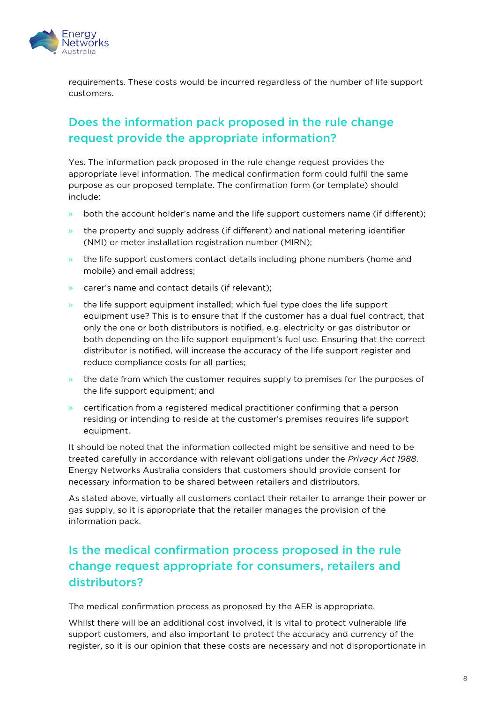

requirements. These costs would be incurred regardless of the number of life support customers.

## Does the information pack proposed in the rule change request provide the appropriate information?

Yes. The information pack proposed in the rule change request provides the appropriate level information. The medical confirmation form could fulfil the same purpose as our proposed template. The confirmation form (or template) should include:

- both the account holder's name and the life support customers name (if different);
- » the property and supply address (if different) and national metering identifier (NMI) or meter installation registration number (MIRN);
- » the life support customers contact details including phone numbers (home and mobile) and email address;
- » carer's name and contact details (if relevant);
- » the life support equipment installed; which fuel type does the life support equipment use? This is to ensure that if the customer has a dual fuel contract, that only the one or both distributors is notified, e.g. electricity or gas distributor or both depending on the life support equipment's fuel use. Ensuring that the correct distributor is notified, will increase the accuracy of the life support register and reduce compliance costs for all parties;
- » the date from which the customer requires supply to premises for the purposes of the life support equipment; and
- » certification from a registered medical practitioner confirming that a person residing or intending to reside at the customer's premises requires life support equipment.

It should be noted that the information collected might be sensitive and need to be treated carefully in accordance with relevant obligations under the *Privacy Act 1988*. Energy Networks Australia considers that customers should provide consent for necessary information to be shared between retailers and distributors.

As stated above, virtually all customers contact their retailer to arrange their power or gas supply, so it is appropriate that the retailer manages the provision of the information pack.

# Is the medical confirmation process proposed in the rule change request appropriate for consumers, retailers and distributors?

The medical confirmation process as proposed by the AER is appropriate.

Whilst there will be an additional cost involved, it is vital to protect vulnerable life support customers, and also important to protect the accuracy and currency of the register, so it is our opinion that these costs are necessary and not disproportionate in